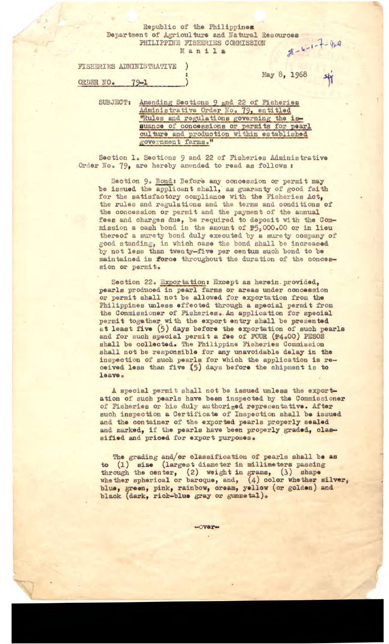## Republic of the Philippines Department of Agriculture and Natural Resources<br>PHILIPPINE FISHERIES COMMISSION<br>Manila PHILIPPINE FISHERIES COMMISSION Manila

| FISHERIES ADMINISTRATIVE |  |
|--------------------------|--|
|--------------------------|--|

**May 8, 1968** 

**ORDER NO0** 79-1

SUBJECT: Amending Sections 9 and 22 of Fisheries Administrative Order No. 79, entitled "Rules and regulations governing the issuance of concessions or permits for pearl culture and production within established *ovenmunt farms."* 

Section 1. Sections 9 and 22 of Fisheries Administrative Order No. 79, are hereby amended to read as follows :

Section 9. Bond: Before any concession or permit may be issued the applicant shall, as guaranty of good faith for the satisfactory compliance with the Fisheries Act, the rules and regulations and the terms and conditions of the concession or permit and the payment of the annual fees and charges due, be required to deposit with the Commission a cash bond in the amount of **P59**000000 or in lieu thereof a surety bond duly executed by a surety company of good standing, in which case the bond shall be increased by not less than twenty-five per oentum such bond to be **maintained in force** throughout the duration of the concession or permit.

Section 22. Exportation: Except as herein.provided, pearls produced in pearl farms or areas under concession or permit shall not be allowed for exportation from the Philippines **unless** effected through a special permit from the Commissioner of Fisheries. An application for special permit together with the export entry shall be presented at least **five** (5) days before the exportation of such pearls and for such special permit a fee of FOUR  $(1/400)$  PESOS shall be collected. The Philippine Fisheries Commission shall not be responsible for any unavoidable delay in the inspection of such pearls for which the application is received less than **five** (5) days before the shipment is to leave.

A special permit shall not be **issued** unless the exportation of such pearls have been inspected by the Commissioner of Fisheries or his duly authorized representative. After such inspection a Certificate of Inspection shall be issued and the container of the exported pearls properly sealed and marked, if the pearls have been properly graded, classified and priced for export purposes.

The grading and/or classification of pearls shall be **as to** (i) **size** (largest diameter in millimeters passing through the center,  $(2)$  weight in grams,  $(3)$  shape whether spherical or baroque, and, (4) color whether silver, **blue, green, pink, rainbow, cream, yellow (or golden) and black (dark,** rich-blue gray or gunmetal).

-over-